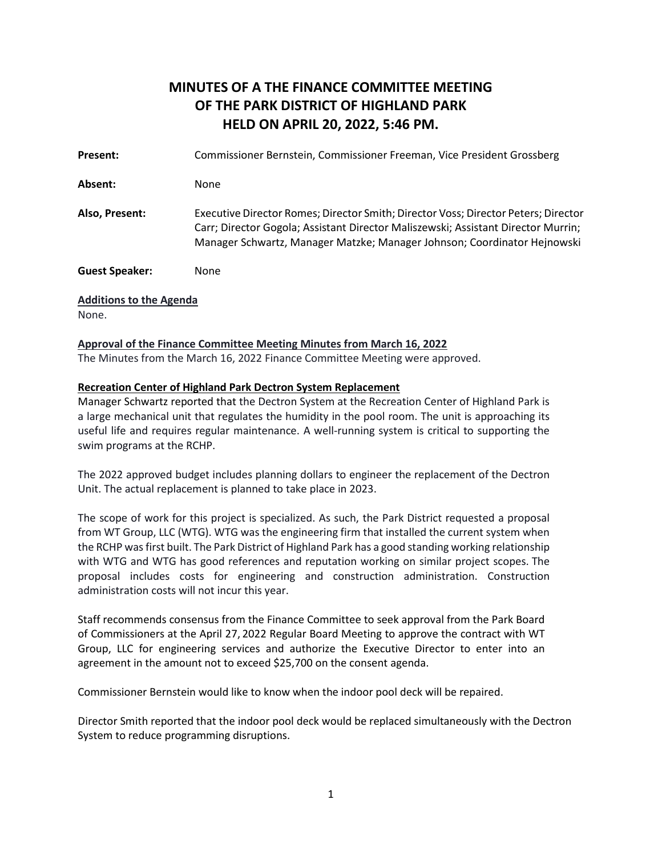# **MINUTES OF A THE FINANCE COMMITTEE MEETING OF THE PARK DISTRICT OF HIGHLAND PARK HELD ON APRIL 20, 2022, 5:46 PM.**

**Present:** Commissioner Bernstein, Commissioner Freeman, Vice President Grossberg Absent: None **Also, Present:** Executive Director Romes; Director Smith; Director Voss; Director Peters; Director Carr; Director Gogola; Assistant Director Maliszewski; Assistant Director Murrin; Manager Schwartz, Manager Matzke; Manager Johnson; Coordinator Hejnowski **Guest Speaker:** None **Additions to the Agenda**  None.

### **Approval of the Finance Committee Meeting Minutes from March 16, 2022**

The Minutes from the March 16, 2022 Finance Committee Meeting were approved.

#### **Recreation Center of Highland Park Dectron System Replacement**

Manager Schwartz reported that the Dectron System at the Recreation Center of Highland Park is a large mechanical unit that regulates the humidity in the pool room. The unit is approaching its useful life and requires regular maintenance. A well-running system is critical to supporting the swim programs at the RCHP.

The 2022 approved budget includes planning dollars to engineer the replacement of the Dectron Unit. The actual replacement is planned to take place in 2023.

The scope of work for this project is specialized. As such, the Park District requested a proposal from WT Group, LLC (WTG). WTG was the engineering firm that installed the current system when the RCHP was first built. The Park District of Highland Park has a good standing working relationship with WTG and WTG has good references and reputation working on similar project scopes. The proposal includes costs for engineering and construction administration. Construction administration costs will not incur this year.

Staff recommends consensus from the Finance Committee to seek approval from the Park Board of Commissioners at the April 27, 2022 Regular Board Meeting to approve the contract with WT Group, LLC for engineering services and authorize the Executive Director to enter into an agreement in the amount not to exceed \$25,700 on the consent agenda.

Commissioner Bernstein would like to know when the indoor pool deck will be repaired.

Director Smith reported that the indoor pool deck would be replaced simultaneously with the Dectron System to reduce programming disruptions.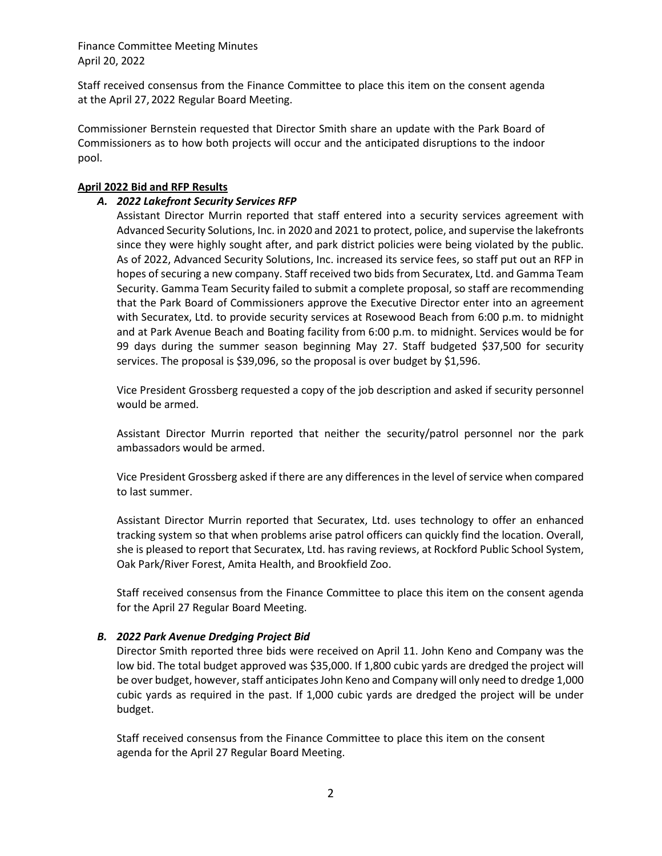Finance Committee Meeting Minutes April 20, 2022

Staff received consensus from the Finance Committee to place this item on the consent agenda at the April 27, 2022 Regular Board Meeting.

Commissioner Bernstein requested that Director Smith share an update with the Park Board of Commissioners as to how both projects will occur and the anticipated disruptions to the indoor pool.

### **April 2022 Bid and RFP Results**

# *A. 2022 Lakefront Security Services RFP*

Assistant Director Murrin reported that staff entered into a security services agreement with Advanced Security Solutions, Inc. in 2020 and 2021 to protect, police, and supervise the lakefronts since they were highly sought after, and park district policies were being violated by the public. As of 2022, Advanced Security Solutions, Inc. increased its service fees, so staff put out an RFP in hopes of securing a new company. Staff received two bids from Securatex, Ltd. and Gamma Team Security. Gamma Team Security failed to submit a complete proposal, so staff are recommending that the Park Board of Commissioners approve the Executive Director enter into an agreement with Securatex, Ltd. to provide security services at Rosewood Beach from 6:00 p.m. to midnight and at Park Avenue Beach and Boating facility from 6:00 p.m. to midnight. Services would be for 99 days during the summer season beginning May 27. Staff budgeted \$37,500 for security services. The proposal is \$39,096, so the proposal is over budget by \$1,596.

Vice President Grossberg requested a copy of the job description and asked if security personnel would be armed.

Assistant Director Murrin reported that neither the security/patrol personnel nor the park ambassadors would be armed.

Vice President Grossberg asked if there are any differences in the level of service when compared to last summer.

Assistant Director Murrin reported that Securatex, Ltd. uses technology to offer an enhanced tracking system so that when problems arise patrol officers can quickly find the location. Overall, she is pleased to report that Securatex, Ltd. has raving reviews, at Rockford Public School System, Oak Park/River Forest, Amita Health, and Brookfield Zoo.

Staff received consensus from the Finance Committee to place this item on the consent agenda for the April 27 Regular Board Meeting.

# *B. 2022 Park Avenue Dredging Project Bid*

Director Smith reported three bids were received on April 11. John Keno and Company was the low bid. The total budget approved was \$35,000. If 1,800 cubic yards are dredged the project will be over budget, however, staff anticipates John Keno and Company will only need to dredge 1,000 cubic yards as required in the past. If 1,000 cubic yards are dredged the project will be under budget.

Staff received consensus from the Finance Committee to place this item on the consent agenda for the April 27 Regular Board Meeting.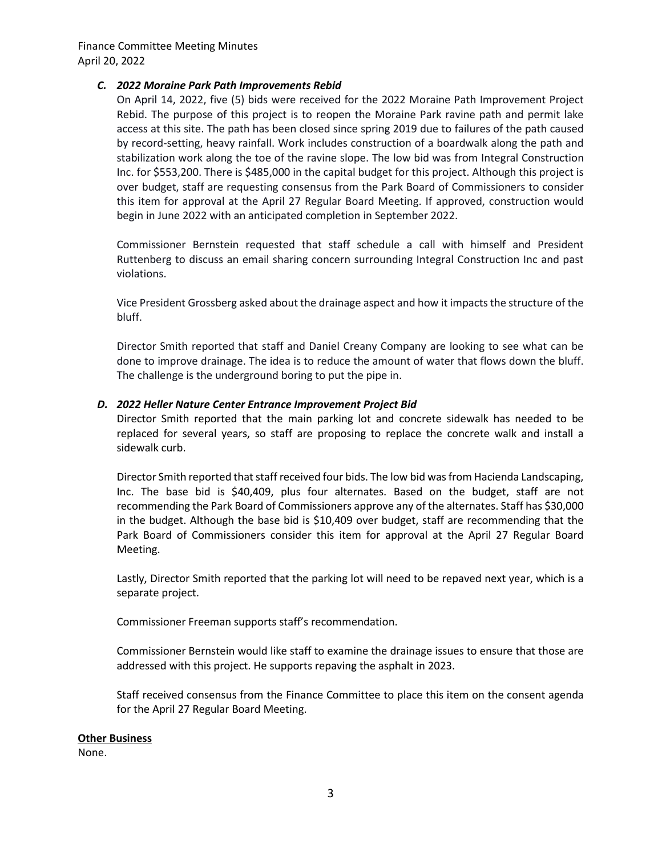Finance Committee Meeting Minutes April 20, 2022

# *C. 2022 Moraine Park Path Improvements Rebid*

On April 14, 2022, five (5) bids were received for the 2022 Moraine Path Improvement Project Rebid. The purpose of this project is to reopen the Moraine Park ravine path and permit lake access at this site. The path has been closed since spring 2019 due to failures of the path caused by record-setting, heavy rainfall. Work includes construction of a boardwalk along the path and stabilization work along the toe of the ravine slope. The low bid was from Integral Construction Inc. for \$553,200. There is \$485,000 in the capital budget for this project. Although this project is over budget, staff are requesting consensus from the Park Board of Commissioners to consider this item for approval at the April 27 Regular Board Meeting. If approved, construction would begin in June 2022 with an anticipated completion in September 2022.

Commissioner Bernstein requested that staff schedule a call with himself and President Ruttenberg to discuss an email sharing concern surrounding Integral Construction Inc and past violations.

Vice President Grossberg asked about the drainage aspect and how it impacts the structure of the bluff.

Director Smith reported that staff and Daniel Creany Company are looking to see what can be done to improve drainage. The idea is to reduce the amount of water that flows down the bluff. The challenge is the underground boring to put the pipe in.

# *D. 2022 Heller Nature Center Entrance Improvement Project Bid*

Director Smith reported that the main parking lot and concrete sidewalk has needed to be replaced for several years, so staff are proposing to replace the concrete walk and install a sidewalk curb.

Director Smith reported that staff received four bids. The low bid was from Hacienda Landscaping, Inc. The base bid is \$40,409, plus four alternates. Based on the budget, staff are not recommending the Park Board of Commissioners approve any of the alternates. Staff has \$30,000 in the budget. Although the base bid is \$10,409 over budget, staff are recommending that the Park Board of Commissioners consider this item for approval at the April 27 Regular Board Meeting.

Lastly, Director Smith reported that the parking lot will need to be repaved next year, which is a separate project.

Commissioner Freeman supports staff's recommendation.

Commissioner Bernstein would like staff to examine the drainage issues to ensure that those are addressed with this project. He supports repaving the asphalt in 2023.

Staff received consensus from the Finance Committee to place this item on the consent agenda for the April 27 Regular Board Meeting.

#### **Other Business**

None.